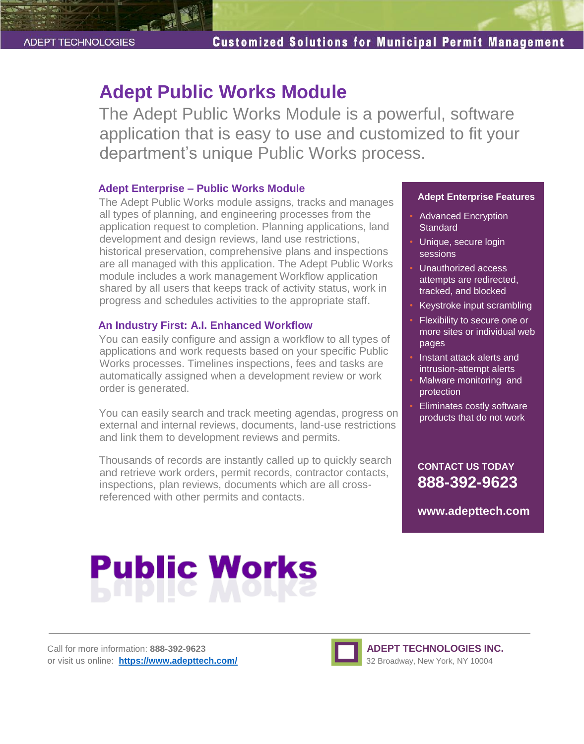# **Adept Public Works Module**

The Adept Public Works Module is a powerful, software application that is easy to use and customized to fit your department's unique Public Works process.

#### **Adept Enterprise – Public Works Module**

The Adept Public Works module assigns, tracks and manages all types of planning, and engineering processes from the application request to completion. Planning applications, land development and design reviews, land use restrictions, historical preservation, comprehensive plans and inspections are all managed with this application. The Adept Public Works module includes a work management Workflow application shared by all users that keeps track of activity status, work in progress and schedules activities to the appropriate staff.

### **An Industry First: A.I. Enhanced Workflow**

You can easily configure and assign a workflow to all types of applications and work requests based on your specific Public Works processes. Timelines inspections, fees and tasks are automatically assigned when a development review or work order is generated.

You can easily search and track meeting agendas, progress on external and internal reviews, documents, land-use restrictions and link them to development reviews and permits.

Thousands of records are instantly called up to quickly search and retrieve work orders, permit records, contractor contacts, inspections, plan reviews, documents which are all crossreferenced with other permits and contacts.

#### **Adept Enterprise Features**

- Advanced Encryption **Standard**
- Unique, secure login sessions
- Unauthorized access attempts are redirected, tracked, and blocked
- Keystroke input scrambling
- Flexibility to secure one or more sites or individual web pages
- Instant attack alerts and intrusion-attempt alerts
- Malware monitoring and protection
- Eliminates costly software products that do not work

# **CONTACT US TODAY 888-392-9623**

**www.adepttech.com**

# **Public Works**